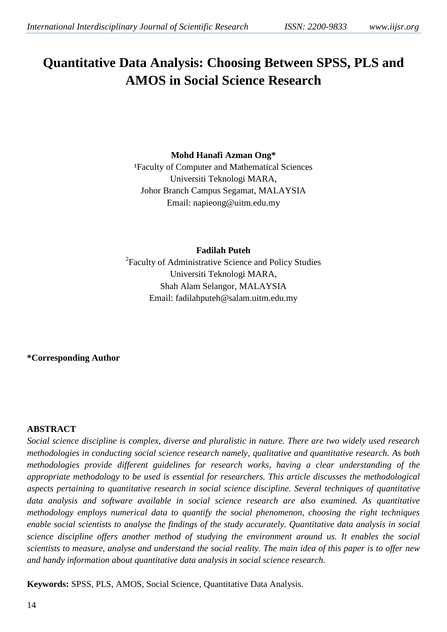# **Quantitative Data Analysis: Choosing Between SPSS, PLS and AMOS in Social Science Research**

## **Mohd Hanafi Azman Ong\***

<sup>1</sup>Faculty of Computer and Mathematical Sciences Universiti Teknologi MARA, Johor Branch Campus Segamat, MALAYSIA Email: napieong@uitm.edu.my

**Fadilah Puteh**

<sup>2</sup> Faculty of Administrative Science and Policy Studies Universiti Teknologi MARA, Shah Alam Selangor, MALAYSIA Email: [fadilahputeh@salam.uitm.edu.my](mailto:fadilahputeh@salam.uitm.edu.my)

**\*Corresponding Author**

#### **ABSTRACT**

*Social science discipline is complex, diverse and pluralistic in nature. There are two widely used research methodologies in conducting social science research namely, qualitative and quantitative research. As both methodologies provide different guidelines for research works, having a clear understanding of the appropriate methodology to be used is essential for researchers. This article discusses the methodological aspects pertaining to quantitative research in social science discipline. Several techniques of quantitative data analysis and software available in social science research are also examined. As quantitative methodology employs numerical data to quantify the social phenomenon, choosing the right techniques enable social scientists to analyse the findings of the study accurately. Quantitative data analysis in social science discipline offers another method of studying the environment around us. It enables the social scientists to measure, analyse and understand the social reality. The main idea of this paper is to offer new and handy information about quantitative data analysis in social science research.*

**Keywords:** SPSS, PLS, AMOS, Social Science, Quantitative Data Analysis.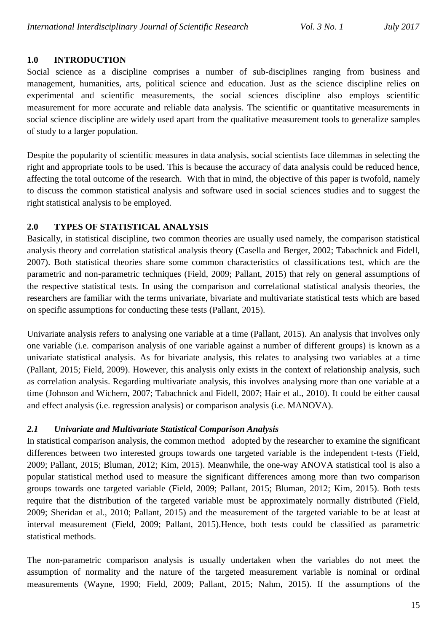## **1.0 INTRODUCTION**

Social science as a discipline comprises a number of sub-disciplines ranging from business and management, humanities, arts, political science and education. Just as the science discipline relies on experimental and scientific measurements, the social sciences discipline also employs scientific measurement for more accurate and reliable data analysis. The scientific or quantitative measurements in social science discipline are widely used apart from the qualitative measurement tools to generalize samples of study to a larger population.

Despite the popularity of scientific measures in data analysis, social scientists face dilemmas in selecting the right and appropriate tools to be used. This is because the accuracy of data analysis could be reduced hence, affecting the total outcome of the research. With that in mind, the objective of this paper is twofold, namely to discuss the common statistical analysis and software used in social sciences studies and to suggest the right statistical analysis to be employed.

## **2.0 TYPES OF STATISTICAL ANALYSIS**

Basically, in statistical discipline, two common theories are usually used namely, the comparison statistical analysis theory and correlation statistical analysis theory (Casella and Berger, 2002; Tabachnick and Fidell, 2007). Both statistical theories share some common characteristics of classifications test, which are the parametric and non-parametric techniques (Field, 2009; Pallant, 2015) that rely on general assumptions of the respective statistical tests. In using the comparison and correlational statistical analysis theories, the researchers are familiar with the terms univariate, bivariate and multivariate statistical tests which are based on specific assumptions for conducting these tests (Pallant, 2015).

Univariate analysis refers to analysing one variable at a time (Pallant, 2015). An analysis that involves only one variable (i.e. comparison analysis of one variable against a number of different groups) is known as a univariate statistical analysis. As for bivariate analysis, this relates to analysing two variables at a time (Pallant, 2015; Field, 2009). However, this analysis only exists in the context of relationship analysis, such as correlation analysis. Regarding multivariate analysis, this involves analysing more than one variable at a time (Johnson and Wichern, 2007; Tabachnick and Fidell, 2007; Hair et al., 2010). It could be either causal and effect analysis (i.e. regression analysis) or comparison analysis (i.e. MANOVA).

## *2.1 Univariate and Multivariate Statistical Comparison Analysis*

In statistical comparison analysis, the common method adopted by the researcher to examine the significant differences between two interested groups towards one targeted variable is the independent t-tests (Field, 2009; Pallant, 2015; Bluman, 2012; Kim, 2015). Meanwhile, the one-way ANOVA statistical tool is also a popular statistical method used to measure the significant differences among more than two comparison groups towards one targeted variable (Field, 2009; Pallant, 2015; Bluman, 2012; Kim, 2015). Both tests require that the distribution of the targeted variable must be approximately normally distributed (Field, 2009; Sheridan et al., 2010; Pallant, 2015) and the measurement of the targeted variable to be at least at interval measurement (Field, 2009; Pallant, 2015).Hence, both tests could be classified as parametric statistical methods.

The non-parametric comparison analysis is usually undertaken when the variables do not meet the assumption of normality and the nature of the targeted measurement variable is nominal or ordinal measurements (Wayne, 1990; Field, 2009; Pallant, 2015; Nahm, 2015). If the assumptions of the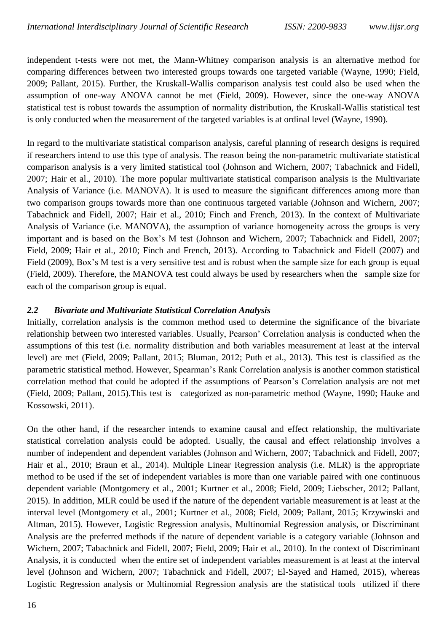independent t-tests were not met, the Mann-Whitney comparison analysis is an alternative method for comparing differences between two interested groups towards one targeted variable (Wayne, 1990; Field, 2009; Pallant, 2015). Further, the Kruskall-Wallis comparison analysis test could also be used when the assumption of one-way ANOVA cannot be met (Field, 2009). However, since the one-way ANOVA statistical test is robust towards the assumption of normality distribution, the Kruskall-Wallis statistical test is only conducted when the measurement of the targeted variables is at ordinal level (Wayne, 1990).

In regard to the multivariate statistical comparison analysis, careful planning of research designs is required if researchers intend to use this type of analysis. The reason being the non-parametric multivariate statistical comparison analysis is a very limited statistical tool (Johnson and Wichern, 2007; Tabachnick and Fidell, 2007; Hair et al., 2010). The more popular multivariate statistical comparison analysis is the Multivariate Analysis of Variance (i.e. MANOVA). It is used to measure the significant differences among more than two comparison groups towards more than one continuous targeted variable (Johnson and Wichern, 2007; Tabachnick and Fidell, 2007; Hair et al., 2010; Finch and French, 2013). In the context of Multivariate Analysis of Variance (i.e. MANOVA), the assumption of variance homogeneity across the groups is very important and is based on the Box's M test (Johnson and Wichern, 2007; Tabachnick and Fidell, 2007; Field, 2009; Hair et al., 2010; Finch and French, 2013). According to Tabachnick and Fidell (2007) and Field (2009), Box's M test is a very sensitive test and is robust when the sample size for each group is equal (Field, 2009). Therefore, the MANOVA test could always be used by researchers when the sample size for each of the comparison group is equal.

#### *2.2 Bivariate and Multivariate Statistical Correlation Analysis*

Initially, correlation analysis is the common method used to determine the significance of the bivariate relationship between two interested variables. Usually, Pearson' Correlation analysis is conducted when the assumptions of this test (i.e. normality distribution and both variables measurement at least at the interval level) are met (Field, 2009; Pallant, 2015; Bluman, 2012; Puth et al., 2013). This test is classified as the parametric statistical method. However, Spearman's Rank Correlation analysis is another common statistical correlation method that could be adopted if the assumptions of Pearson's Correlation analysis are not met (Field, 2009; Pallant, 2015).This test is categorized as non-parametric method (Wayne, 1990; Hauke and Kossowski, 2011).

On the other hand, if the researcher intends to examine causal and effect relationship, the multivariate statistical correlation analysis could be adopted. Usually, the causal and effect relationship involves a number of independent and dependent variables (Johnson and Wichern, 2007; Tabachnick and Fidell, 2007; Hair et al., 2010; Braun et al., 2014). Multiple Linear Regression analysis (i.e. MLR) is the appropriate method to be used if the set of independent variables is more than one variable paired with one continuous dependent variable (Montgomery et al., 2001; Kurtner et al., 2008; Field, 2009; Liebscher, 2012; Pallant, 2015). In addition, MLR could be used if the nature of the dependent variable measurement is at least at the interval level (Montgomery et al., 2001; Kurtner et al., 2008; Field, 2009; Pallant, 2015; Krzywinski and Altman, 2015). However, Logistic Regression analysis, Multinomial Regression analysis, or Discriminant Analysis are the preferred methods if the nature of dependent variable is a category variable (Johnson and Wichern, 2007; Tabachnick and Fidell, 2007; Field, 2009; Hair et al., 2010). In the context of Discriminant Analysis, it is conducted when the entire set of independent variables measurement is at least at the interval level (Johnson and Wichern, 2007; Tabachnick and Fidell, 2007; El-Sayed and Hamed, 2015), whereas Logistic Regression analysis or Multinomial Regression analysis are the statistical tools utilized if there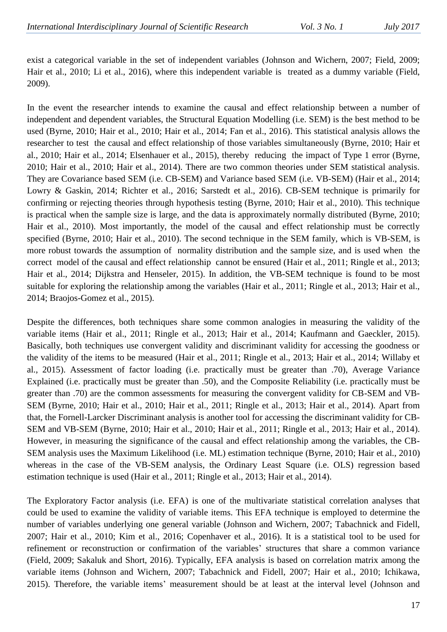exist a categorical variable in the set of independent variables (Johnson and Wichern, 2007; Field, 2009; Hair et al., 2010; Li et al., 2016), where this independent variable is treated as a dummy variable (Field, 2009).

In the event the researcher intends to examine the causal and effect relationship between a number of independent and dependent variables, the Structural Equation Modelling (i.e. SEM) is the best method to be used (Byrne, 2010; Hair et al., 2010; Hair et al., 2014; Fan et al., 2016). This statistical analysis allows the researcher to test the causal and effect relationship of those variables simultaneously (Byrne, 2010; Hair et al., 2010; Hair et al., 2014; Elsenhauer et al., 2015), thereby reducing the impact of Type 1 error (Byrne, 2010; Hair et al., 2010; Hair et al., 2014). There are two common theories under SEM statistical analysis. They are Covariance based SEM (i.e. CB-SEM) and Variance based SEM (i.e. VB-SEM) (Hair et al., 2014; Lowry & Gaskin, 2014; Richter et al., 2016; Sarstedt et al., 2016). CB-SEM technique is primarily for confirming or rejecting theories through hypothesis testing (Byrne, 2010; Hair et al., 2010). This technique is practical when the sample size is large, and the data is approximately normally distributed (Byrne, 2010; Hair et al., 2010). Most importantly, the model of the causal and effect relationship must be correctly specified (Byrne, 2010; Hair et al., 2010). The second technique in the SEM family, which is VB-SEM, is more robust towards the assumption of normality distribution and the sample size, and is used when the correct model of the causal and effect relationship cannot be ensured (Hair et al., 2011; Ringle et al., 2013; Hair et al., 2014; Dijkstra and Henseler, 2015). In addition, the VB-SEM technique is found to be most suitable for exploring the relationship among the variables (Hair et al., 2011; Ringle et al., 2013; Hair et al., 2014; Braojos-Gomez et al., 2015).

Despite the differences, both techniques share some common analogies in measuring the validity of the variable items (Hair et al., 2011; Ringle et al., 2013; Hair et al., 2014; Kaufmann and Gaeckler, 2015). Basically, both techniques use convergent validity and discriminant validity for accessing the goodness or the validity of the items to be measured (Hair et al., 2011; Ringle et al., 2013; Hair et al., 2014; Willaby et al., 2015). Assessment of factor loading (i.e. practically must be greater than .70), Average Variance Explained (i.e. practically must be greater than .50), and the Composite Reliability (i.e. practically must be greater than .70) are the common assessments for measuring the convergent validity for CB-SEM and VB-SEM (Byrne, 2010; Hair et al., 2010; Hair et al., 2011; Ringle et al., 2013; Hair et al., 2014). Apart from that, the Fornell-Larcker Discriminant analysis is another tool for accessing the discriminant validity for CB-SEM and VB-SEM (Byrne, 2010; Hair et al., 2010; Hair et al., 2011; Ringle et al., 2013; Hair et al., 2014). However, in measuring the significance of the causal and effect relationship among the variables, the CB-SEM analysis uses the Maximum Likelihood (i.e. ML) estimation technique (Byrne, 2010; Hair et al., 2010) whereas in the case of the VB-SEM analysis, the Ordinary Least Square (i.e. OLS) regression based estimation technique is used (Hair et al., 2011; Ringle et al., 2013; Hair et al., 2014).

The Exploratory Factor analysis (i.e. EFA) is one of the multivariate statistical correlation analyses that could be used to examine the validity of variable items. This EFA technique is employed to determine the number of variables underlying one general variable (Johnson and Wichern, 2007; Tabachnick and Fidell, 2007; Hair et al., 2010; Kim et al., 2016; Copenhaver et al., 2016). It is a statistical tool to be used for refinement or reconstruction or confirmation of the variables' structures that share a common variance (Field, 2009; Sakaluk and Short, 2016). Typically, EFA analysis is based on correlation matrix among the variable items (Johnson and Wichern, 2007; Tabachnick and Fidell, 2007; Hair et al., 2010; Ichikawa, 2015). Therefore, the variable items' measurement should be at least at the interval level (Johnson and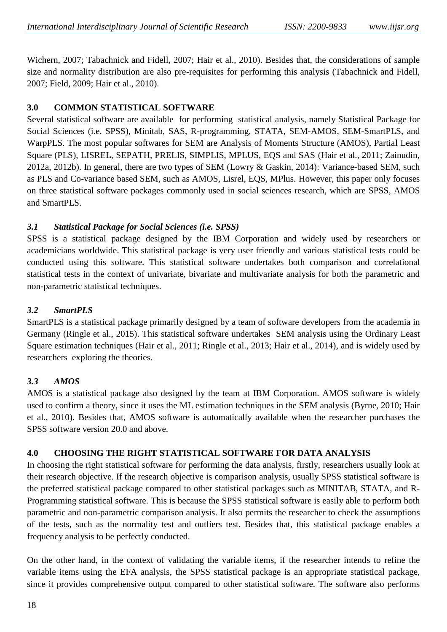Wichern, 2007; Tabachnick and Fidell, 2007; Hair et al., 2010). Besides that, the considerations of sample size and normality distribution are also pre-requisites for performing this analysis (Tabachnick and Fidell, 2007; Field, 2009; Hair et al., 2010).

## **3.0 COMMON STATISTICAL SOFTWARE**

Several statistical software are available for performing statistical analysis, namely Statistical Package for Social Sciences (i.e. SPSS), Minitab, SAS, R-programming, STATA, SEM-AMOS, SEM-SmartPLS, and WarpPLS. The most popular softwares for SEM are Analysis of Moments Structure (AMOS), Partial Least Square (PLS), LISREL, SEPATH, PRELIS, SIMPLIS, MPLUS, EQS and SAS (Hair et al., 2011; Zainudin, 2012a, 2012b). In general, there are two types of SEM (Lowry & Gaskin, 2014): Variance-based SEM, such as PLS and Co-variance based SEM, such as AMOS, Lisrel, EQS, MPlus. However, this paper only focuses on three statistical software packages commonly used in social sciences research, which are SPSS, AMOS and SmartPLS.

# *3.1 Statistical Package for Social Sciences (i.e. SPSS)*

SPSS is a statistical package designed by the IBM Corporation and widely used by researchers or academicians worldwide. This statistical package is very user friendly and various statistical tests could be conducted using this software. This statistical software undertakes both comparison and correlational statistical tests in the context of univariate, bivariate and multivariate analysis for both the parametric and non-parametric statistical techniques.

# *3.2 SmartPLS*

SmartPLS is a statistical package primarily designed by a team of software developers from the academia in Germany (Ringle et al., 2015). This statistical software undertakes SEM analysis using the Ordinary Least Square estimation techniques (Hair et al., 2011; Ringle et al., 2013; Hair et al., 2014), and is widely used by researchers exploring the theories.

## *3.3 AMOS*

AMOS is a statistical package also designed by the team at IBM Corporation. AMOS software is widely used to confirm a theory, since it uses the ML estimation techniques in the SEM analysis (Byrne, 2010; Hair et al., 2010). Besides that, AMOS software is automatically available when the researcher purchases the SPSS software version 20.0 and above.

## **4.0 CHOOSING THE RIGHT STATISTICAL SOFTWARE FOR DATA ANALYSIS**

In choosing the right statistical software for performing the data analysis, firstly, researchers usually look at their research objective. If the research objective is comparison analysis, usually SPSS statistical software is the preferred statistical package compared to other statistical packages such as MINITAB, STATA, and R-Programming statistical software. This is because the SPSS statistical software is easily able to perform both parametric and non-parametric comparison analysis. It also permits the researcher to check the assumptions of the tests, such as the normality test and outliers test. Besides that, this statistical package enables a frequency analysis to be perfectly conducted.

On the other hand, in the context of validating the variable items, if the researcher intends to refine the variable items using the EFA analysis, the SPSS statistical package is an appropriate statistical package, since it provides comprehensive output compared to other statistical software. The software also performs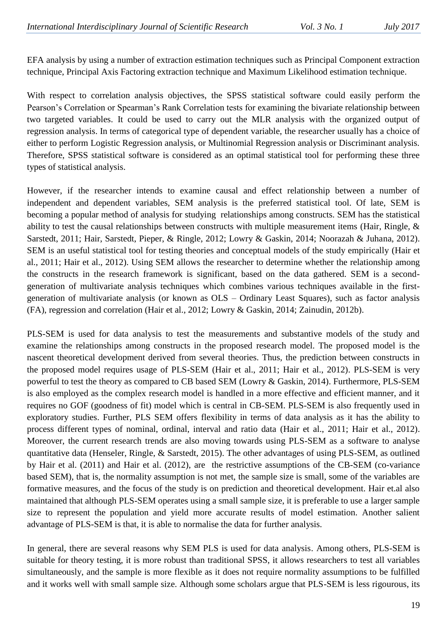EFA analysis by using a number of extraction estimation techniques such as Principal Component extraction technique, Principal Axis Factoring extraction technique and Maximum Likelihood estimation technique.

With respect to correlation analysis objectives, the SPSS statistical software could easily perform the Pearson's Correlation or Spearman's Rank Correlation tests for examining the bivariate relationship between two targeted variables. It could be used to carry out the MLR analysis with the organized output of regression analysis. In terms of categorical type of dependent variable, the researcher usually has a choice of either to perform Logistic Regression analysis, or Multinomial Regression analysis or Discriminant analysis. Therefore, SPSS statistical software is considered as an optimal statistical tool for performing these three types of statistical analysis.

However, if the researcher intends to examine causal and effect relationship between a number of independent and dependent variables, SEM analysis is the preferred statistical tool. Of late, SEM is becoming a popular method of analysis for studying relationships among constructs. SEM has the statistical ability to test the causal relationships between constructs with multiple measurement items (Hair, Ringle, & Sarstedt, 2011; Hair, Sarstedt, Pieper, & Ringle, 2012; Lowry & Gaskin, 2014; Noorazah & Juhana, 2012). SEM is an useful statistical tool for testing theories and conceptual models of the study empirically (Hair et al., 2011; Hair et al., 2012). Using SEM allows the researcher to determine whether the relationship among the constructs in the research framework is significant, based on the data gathered. SEM is a secondgeneration of multivariate analysis techniques which combines various techniques available in the firstgeneration of multivariate analysis (or known as OLS – Ordinary Least Squares), such as factor analysis (FA), regression and correlation (Hair et al., 2012; Lowry & Gaskin, 2014; Zainudin, 2012b).

PLS-SEM is used for data analysis to test the measurements and substantive models of the study and examine the relationships among constructs in the proposed research model. The proposed model is the nascent theoretical development derived from several theories. Thus, the prediction between constructs in the proposed model requires usage of PLS-SEM (Hair et al., 2011; Hair et al., 2012). PLS-SEM is very powerful to test the theory as compared to CB based SEM (Lowry & Gaskin, 2014). Furthermore, PLS-SEM is also employed as the complex research model is handled in a more effective and efficient manner, and it requires no GOF (goodness of fit) model which is central in CB-SEM. PLS-SEM is also frequently used in exploratory studies. Further, PLS SEM offers flexibility in terms of data analysis as it has the ability to process different types of nominal, ordinal, interval and ratio data (Hair et al., 2011; Hair et al., 2012). Moreover, the current research trends are also moving towards using PLS-SEM as a software to analyse quantitative data (Henseler, Ringle, & Sarstedt, 2015). The other advantages of using PLS-SEM, as outlined by Hair et al. (2011) and Hair et al. (2012), are the restrictive assumptions of the CB-SEM (co-variance based SEM), that is, the normality assumption is not met, the sample size is small, some of the variables are formative measures, and the focus of the study is on prediction and theoretical development. Hair et.al also maintained that although PLS-SEM operates using a small sample size, it is preferable to use a larger sample size to represent the population and yield more accurate results of model estimation. Another salient advantage of PLS-SEM is that, it is able to normalise the data for further analysis.

In general, there are several reasons why SEM PLS is used for data analysis. Among others, PLS-SEM is suitable for theory testing, it is more robust than traditional SPSS, it allows researchers to test all variables simultaneously, and the sample is more flexible as it does not require normality assumptions to be fulfilled and it works well with small sample size. Although some scholars argue that PLS-SEM is less rigourous, its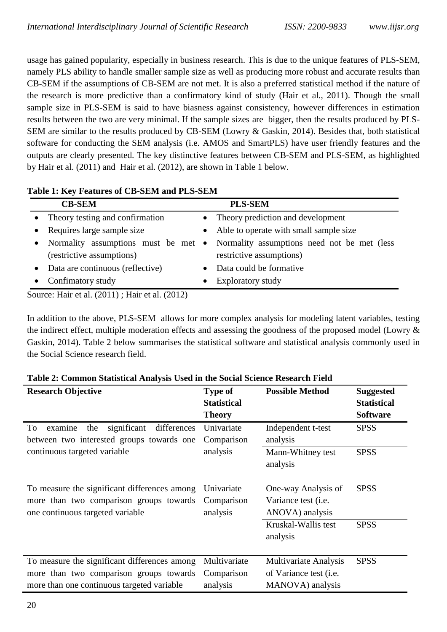usage has gained popularity, especially in business research. This is due to the unique features of PLS-SEM, namely PLS ability to handle smaller sample size as well as producing more robust and accurate results than CB-SEM if the assumptions of CB-SEM are not met. It is also a preferred statistical method if the nature of the research is more predictive than a confirmatory kind of study (Hair et al., 2011). Though the small sample size in PLS-SEM is said to have biasness against consistency, however differences in estimation results between the two are very minimal. If the sample sizes are bigger, then the results produced by PLS-SEM are similar to the results produced by CB-SEM (Lowry & Gaskin, 2014). Besides that, both statistical software for conducting the SEM analysis (i.e. AMOS and SmartPLS) have user friendly features and the outputs are clearly presented. The key distinctive features between CB-SEM and PLS-SEM, as highlighted by Hair et al. (2011) and Hair et al. (2012), are shown in Table 1 below.

| <b>CB-SEM</b> |                                                                | <b>PLS-SEM</b> |                                                                         |
|---------------|----------------------------------------------------------------|----------------|-------------------------------------------------------------------------|
|               | Theory testing and confirmation                                |                | • Theory prediction and development                                     |
|               | Requires large sample size                                     |                | Able to operate with small sample size                                  |
|               | Normality assumptions must be met<br>(restrictive assumptions) | $\bullet$      | Normality assumptions need not be met (less<br>restrictive assumptions) |
| $\bullet$     | Data are continuous (reflective)                               |                | Data could be formative                                                 |
|               | Confimatory study                                              |                | Exploratory study                                                       |

## **Table 1: Key Features of CB-SEM and PLS-SEM**

Source: Hair et al. (2011) ; Hair et al. (2012)

In addition to the above, PLS-SEM allows for more complex analysis for modeling latent variables, testing the indirect effect, multiple moderation effects and assessing the goodness of the proposed model (Lowry & Gaskin, 2014). Table 2 below summarises the statistical software and statistical analysis commonly used in the Social Science research field.

| <b>Research Objective</b>                                                                                                             | <b>Type of</b><br><b>Statistical</b><br><b>Theory</b> | <b>Possible Method</b>                                                | <b>Suggested</b><br><b>Statistical</b><br><b>Software</b> |
|---------------------------------------------------------------------------------------------------------------------------------------|-------------------------------------------------------|-----------------------------------------------------------------------|-----------------------------------------------------------|
| significant<br>To<br>examine<br>the<br>differences<br>between two interested groups towards one                                       | Univariate<br>Comparison<br>analysis                  | Independent t-test<br>analysis                                        | <b>SPSS</b>                                               |
| continuous targeted variable                                                                                                          |                                                       | Mann-Whitney test<br>analysis                                         | <b>SPSS</b>                                               |
| To measure the significant differences among<br>more than two comparison groups towards<br>one continuous targeted variable           | Univariate<br>Comparison<br>analysis                  | One-way Analysis of<br>Variance test ( <i>i.e.</i><br>ANOVA) analysis | <b>SPSS</b>                                               |
|                                                                                                                                       |                                                       | Kruskal-Wallis test<br>analysis                                       | <b>SPSS</b>                                               |
| To measure the significant differences among<br>more than two comparison groups towards<br>more than one continuous targeted variable | Multivariate<br>Comparison<br>analysis                | Multivariate Analysis<br>of Variance test (i.e.<br>MANOVA) analysis   | <b>SPSS</b>                                               |

## **Table 2: Common Statistical Analysis Used in the Social Science Research Field**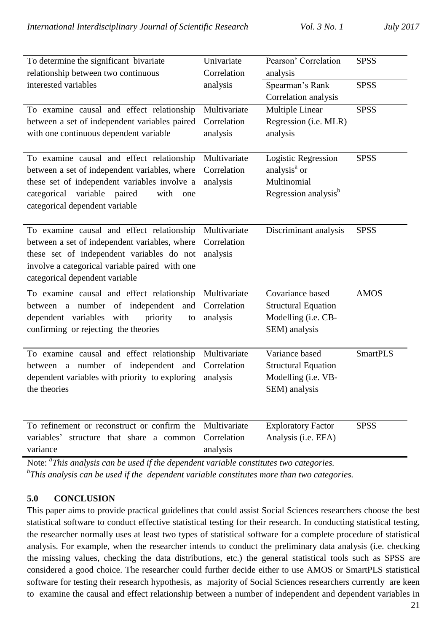| To determine the significant bivariate<br>relationship between two continuous                                                                                                                                                    | Univariate<br>Correlation               | Pearson' Correlation<br>analysis                                                                   | <b>SPSS</b>     |
|----------------------------------------------------------------------------------------------------------------------------------------------------------------------------------------------------------------------------------|-----------------------------------------|----------------------------------------------------------------------------------------------------|-----------------|
| interested variables                                                                                                                                                                                                             | analysis                                | Spearman's Rank<br>Correlation analysis                                                            | <b>SPSS</b>     |
| To examine causal and effect relationship<br>between a set of independent variables paired<br>with one continuous dependent variable                                                                                             | Multivariate<br>Correlation<br>analysis | Multiple Linear<br>Regression (i.e. MLR)<br>analysis                                               | <b>SPSS</b>     |
| To examine causal and effect relationship<br>between a set of independent variables, where<br>these set of independent variables involve a<br>categorical<br>variable<br>paired<br>with<br>one<br>categorical dependent variable | Multivariate<br>Correlation<br>analysis | Logistic Regression<br>analysis <sup>a</sup> or<br>Multinomial<br>Regression analysis <sup>b</sup> | <b>SPSS</b>     |
| To examine causal and effect relationship<br>between a set of independent variables, where<br>these set of independent variables do not<br>involve a categorical variable paired with one<br>categorical dependent variable      | Multivariate<br>Correlation<br>analysis | Discriminant analysis                                                                              | <b>SPSS</b>     |
| To examine causal and effect relationship<br>between a number of independent<br>and<br>dependent variables with<br>priority<br>to<br>confirming or rejecting the theories                                                        | Multivariate<br>Correlation<br>analysis | Covariance based<br><b>Structural Equation</b><br>Modelling (i.e. CB-<br>SEM) analysis             | <b>AMOS</b>     |
| To examine causal and effect relationship<br>between a number of independent and<br>dependent variables with priority to exploring<br>the theories                                                                               | Multivariate<br>Correlation<br>analysis | Variance based<br><b>Structural Equation</b><br>Modelling (i.e. VB-<br>SEM) analysis               | <b>SmartPLS</b> |
| To refinement or reconstruct or confirm the<br>variables'<br>structure that share a common<br>variance                                                                                                                           | Multivariate<br>Correlation<br>analysis | <b>Exploratory Factor</b><br>Analysis (i.e. EFA)                                                   | <b>SPSS</b>     |

Note: *<sup>a</sup> This analysis can be used if the dependent variable constitutes two categories. b This analysis can be used if the dependent variable constitutes more than two categories.*

## **5.0 CONCLUSION**

This paper aims to provide practical guidelines that could assist Social Sciences researchers choose the best statistical software to conduct effective statistical testing for their research. In conducting statistical testing, the researcher normally uses at least two types of statistical software for a complete procedure of statistical analysis. For example, when the researcher intends to conduct the preliminary data analysis (i.e. checking the missing values, checking the data distributions, etc.) the general statistical tools such as SPSS are considered a good choice. The researcher could further decide either to use AMOS or SmartPLS statistical software for testing their research hypothesis, as majority of Social Sciences researchers currently are keen to examine the causal and effect relationship between a number of independent and dependent variables in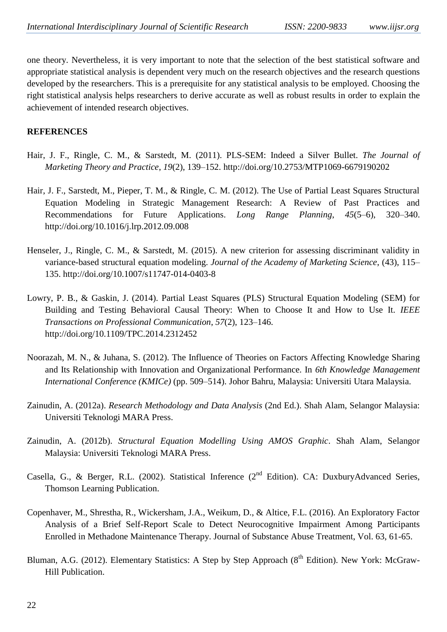one theory. Nevertheless, it is very important to note that the selection of the best statistical software and appropriate statistical analysis is dependent very much on the research objectives and the research questions developed by the researchers. This is a prerequisite for any statistical analysis to be employed. Choosing the right statistical analysis helps researchers to derive accurate as well as robust results in order to explain the achievement of intended research objectives.

#### **REFERENCES**

- Hair, J. F., Ringle, C. M., & Sarstedt, M. (2011). PLS-SEM: Indeed a Silver Bullet. *The Journal of Marketing Theory and Practice*, *19*(2), 139–152. http://doi.org/10.2753/MTP1069-6679190202
- Hair, J. F., Sarstedt, M., Pieper, T. M., & Ringle, C. M. (2012). The Use of Partial Least Squares Structural Equation Modeling in Strategic Management Research: A Review of Past Practices and Recommendations for Future Applications. *Long Range Planning*, *45*(5–6), 320–340. http://doi.org/10.1016/j.lrp.2012.09.008
- Henseler, J., Ringle, C. M., & Sarstedt, M. (2015). A new criterion for assessing discriminant validity in variance-based structural equation modeling. *Journal of the Academy of Marketing Science*, (43), 115– 135. http://doi.org/10.1007/s11747-014-0403-8
- Lowry, P. B., & Gaskin, J. (2014). Partial Least Squares (PLS) Structural Equation Modeling (SEM) for Building and Testing Behavioral Causal Theory: When to Choose It and How to Use It. *IEEE Transactions on Professional Communication*, *57*(2), 123–146. http://doi.org/10.1109/TPC.2014.2312452
- Noorazah, M. N., & Juhana, S. (2012). The Influence of Theories on Factors Affecting Knowledge Sharing and Its Relationship with Innovation and Organizational Performance. In *6th Knowledge Management International Conference (KMICe)* (pp. 509–514). Johor Bahru, Malaysia: Universiti Utara Malaysia.
- Zainudin, A. (2012a). *Research Methodology and Data Analysis* (2nd Ed.). Shah Alam, Selangor Malaysia: Universiti Teknologi MARA Press.
- Zainudin, A. (2012b). *Structural Equation Modelling Using AMOS Graphic*. Shah Alam, Selangor Malaysia: Universiti Teknologi MARA Press.
- Casella, G., & Berger, R.L. (2002). Statistical Inference (2<sup>nd</sup> Edition). CA: DuxburyAdvanced Series, Thomson Learning Publication.
- Copenhaver, M., Shrestha, R., Wickersham, J.A., Weikum, D., & Altice, F.L. (2016). An Exploratory Factor Analysis of a Brief Self-Report Scale to Detect Neurocognitive Impairment Among Participants Enrolled in Methadone Maintenance Therapy. Journal of Substance Abuse Treatment, Vol. 63, 61-65.
- Bluman, A.G. (2012). Elementary Statistics: A Step by Step Approach (8<sup>th</sup> Edition). New York: McGraw-Hill Publication.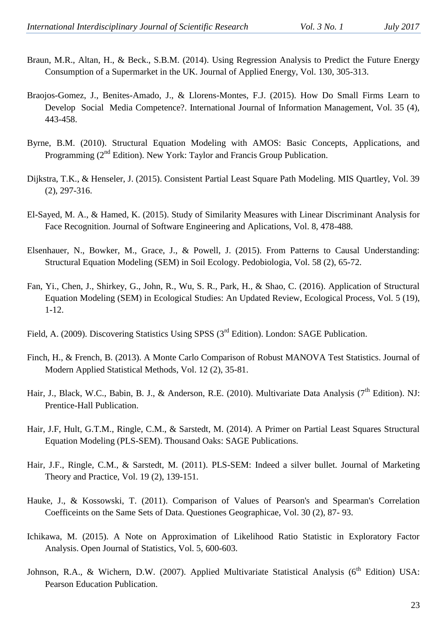- Braun, M.R., Altan, H., & Beck., S.B.M. (2014). Using Regression Analysis to Predict the Future Energy Consumption of a Supermarket in the UK. Journal of Applied Energy, Vol. 130, 305-313.
- Braojos-Gomez, J., Benites-Amado, J., & Llorens-Montes, F.J. (2015). How Do Small Firms Learn to Develop Social Media Competence?. International Journal of Information Management, Vol. 35 (4), 443-458.
- Byrne, B.M. (2010). Structural Equation Modeling with AMOS: Basic Concepts, Applications, and Programming  $(2^{nd}$  Edition). New York: Taylor and Francis Group Publication.
- Dijkstra, T.K., & Henseler, J. (2015). Consistent Partial Least Square Path Modeling. MIS Quartley, Vol. 39 (2), 297-316.
- El-Sayed, M. A., & Hamed, K. (2015). Study of Similarity Measures with Linear Discriminant Analysis for Face Recognition. Journal of Software Engineering and Aplications, Vol. 8, 478-488.
- Elsenhauer, N., Bowker, M., Grace, J., & Powell, J. (2015). From Patterns to Causal Understanding: Structural Equation Modeling (SEM) in Soil Ecology. Pedobiologia, Vol. 58 (2), 65-72.
- Fan, Yi., Chen, J., Shirkey, G., John, R., Wu, S. R., Park, H., & Shao, C. (2016). Application of Structural Equation Modeling (SEM) in Ecological Studies: An Updated Review, Ecological Process, Vol. 5 (19), 1-12.
- Field, A. (2009). Discovering Statistics Using SPSS (3<sup>rd</sup> Edition). London: SAGE Publication.
- Finch, H., & French, B. (2013). A Monte Carlo Comparison of Robust MANOVA Test Statistics. Journal of Modern Applied Statistical Methods, Vol. 12 (2), 35-81.
- Hair, J., Black, W.C., Babin, B. J., & Anderson, R.E. (2010). Multivariate Data Analysis (7<sup>th</sup> Edition). NJ: Prentice-Hall Publication.
- Hair, J.F, Hult, G.T.M., Ringle, C.M., & Sarstedt, M. (2014). A Primer on Partial Least Squares Structural Equation Modeling (PLS-SEM). Thousand Oaks: SAGE Publications.
- Hair, J.F., Ringle, C.M., & Sarstedt, M. (2011). PLS-SEM: Indeed a silver bullet. Journal of Marketing Theory and Practice, Vol. 19 (2), 139-151.
- Hauke, J., & Kossowski, T. (2011). Comparison of Values of Pearson's and Spearman's Correlation Coefficeints on the Same Sets of Data. Questiones Geographicae, Vol. 30 (2), 87- 93.
- Ichikawa, M. (2015). A Note on Approximation of Likelihood Ratio Statistic in Exploratory Factor Analysis. Open Journal of Statistics, Vol. 5, 600-603.
- Johnson, R.A., & Wichern, D.W. (2007). Applied Multivariate Statistical Analysis (6<sup>th</sup> Edition) USA: Pearson Education Publication.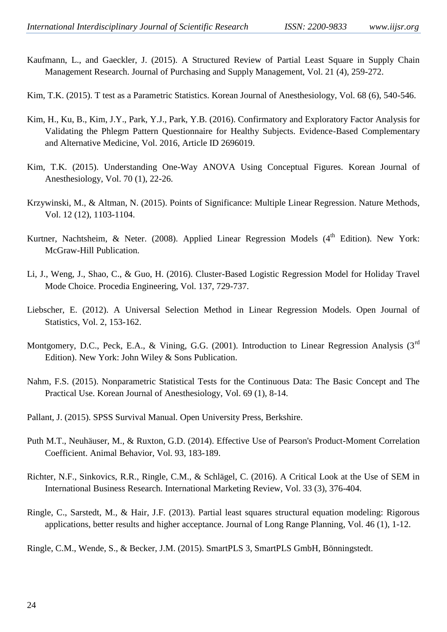Kaufmann, L., and Gaeckler, J. (2015). A Structured Review of Partial Least Square in Supply Chain Management Research. Journal of Purchasing and Supply Management, Vol. 21 (4), 259-272.

Kim, T.K. (2015). T test as a Parametric Statistics. Korean Journal of Anesthesiology, Vol. 68 (6), 540-546.

- Kim, H., Ku, B., Kim, J.Y., Park, Y.J., Park, Y.B. (2016). Confirmatory and Exploratory Factor Analysis for Validating the Phlegm Pattern Questionnaire for Healthy Subjects. Evidence-Based Complementary and Alternative Medicine, Vol. 2016, Article ID 2696019.
- Kim, T.K. (2015). Understanding One-Way ANOVA Using Conceptual Figures. Korean Journal of Anesthesiology, Vol. 70 (1), 22-26.
- Krzywinski, M., & Altman, N. (2015). Points of Significance: Multiple Linear Regression. Nature Methods, Vol. 12 (12), 1103-1104.
- Kurtner, Nachtsheim, & Neter. (2008). Applied Linear Regression Models ( $4<sup>th</sup>$  Edition). New York: McGraw-Hill Publication.
- Li, J., Weng, J., Shao, C., & Guo, H. (2016). Cluster-Based Logistic Regression Model for Holiday Travel Mode Choice. Procedia Engineering, Vol. 137, 729-737.
- Liebscher, E. (2012). A Universal Selection Method in Linear Regression Models. Open Journal of Statistics, Vol. 2, 153-162.
- Montgomery, D.C., Peck, E.A., & Vining, G.G. (2001). Introduction to Linear Regression Analysis (3<sup>rd</sup> Edition). New York: John Wiley & Sons Publication.
- Nahm, F.S. (2015). Nonparametric Statistical Tests for the Continuous Data: The Basic Concept and The Practical Use. Korean Journal of Anesthesiology, Vol. 69 (1), 8-14.

Pallant, J. (2015). SPSS Survival Manual. Open University Press, Berkshire.

- Puth M.T., Neuhäuser, M., & Ruxton, G.D. (2014). Effective Use of Pearson's Product-Moment Correlation Coefficient. Animal Behavior, Vol. 93, 183-189.
- Richter, N.F., Sinkovics, R.R., Ringle, C.M., & Schlägel, C. (2016). A Critical Look at the Use of SEM in International Business Research. International Marketing Review, Vol. 33 (3), 376-404.
- Ringle, C., Sarstedt, M., & Hair, J.F. (2013). Partial least squares structural equation modeling: Rigorous applications, better results and higher acceptance. Journal of Long Range Planning, Vol. 46 (1), 1-12.

Ringle, C.M., Wende, S., & Becker, J.M. (2015). SmartPLS 3, SmartPLS GmbH, Bönningstedt.